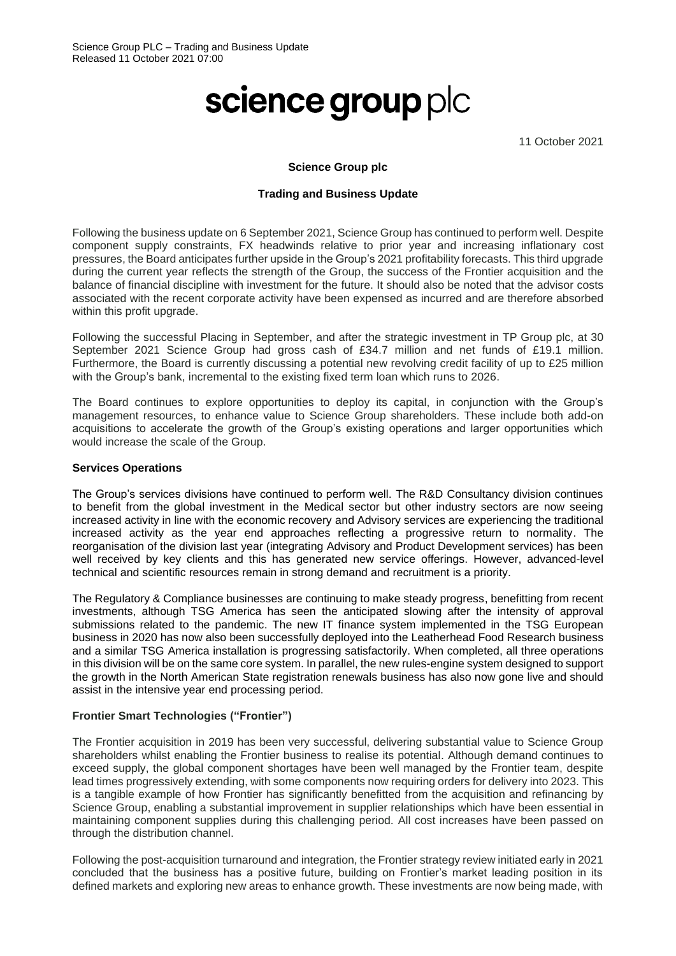# science group plc

11 October 2021

#### **Science Group plc**

#### **Trading and Business Update**

Following the business update on 6 September 2021, Science Group has continued to perform well. Despite component supply constraints, FX headwinds relative to prior year and increasing inflationary cost pressures, the Board anticipates further upside in the Group's 2021 profitability forecasts. This third upgrade during the current year reflects the strength of the Group, the success of the Frontier acquisition and the balance of financial discipline with investment for the future. It should also be noted that the advisor costs associated with the recent corporate activity have been expensed as incurred and are therefore absorbed within this profit upgrade.

Following the successful Placing in September, and after the strategic investment in TP Group plc, at 30 September 2021 Science Group had gross cash of £34.7 million and net funds of £19.1 million. Furthermore, the Board is currently discussing a potential new revolving credit facility of up to £25 million with the Group's bank, incremental to the existing fixed term loan which runs to 2026.

The Board continues to explore opportunities to deploy its capital, in conjunction with the Group's management resources, to enhance value to Science Group shareholders. These include both add-on acquisitions to accelerate the growth of the Group's existing operations and larger opportunities which would increase the scale of the Group.

#### **Services Operations**

The Group's services divisions have continued to perform well. The R&D Consultancy division continues to benefit from the global investment in the Medical sector but other industry sectors are now seeing increased activity in line with the economic recovery and Advisory services are experiencing the traditional increased activity as the year end approaches reflecting a progressive return to normality. The reorganisation of the division last year (integrating Advisory and Product Development services) has been well received by key clients and this has generated new service offerings. However, advanced-level technical and scientific resources remain in strong demand and recruitment is a priority.

The Regulatory & Compliance businesses are continuing to make steady progress, benefitting from recent investments, although TSG America has seen the anticipated slowing after the intensity of approval submissions related to the pandemic. The new IT finance system implemented in the TSG European business in 2020 has now also been successfully deployed into the Leatherhead Food Research business and a similar TSG America installation is progressing satisfactorily. When completed, all three operations in this division will be on the same core system. In parallel, the new rules-engine system designed to support the growth in the North American State registration renewals business has also now gone live and should assist in the intensive year end processing period.

## **Frontier Smart Technologies ("Frontier")**

The Frontier acquisition in 2019 has been very successful, delivering substantial value to Science Group shareholders whilst enabling the Frontier business to realise its potential. Although demand continues to exceed supply, the global component shortages have been well managed by the Frontier team, despite lead times progressively extending, with some components now requiring orders for delivery into 2023. This is a tangible example of how Frontier has significantly benefitted from the acquisition and refinancing by Science Group, enabling a substantial improvement in supplier relationships which have been essential in maintaining component supplies during this challenging period. All cost increases have been passed on through the distribution channel.

Following the post-acquisition turnaround and integration, the Frontier strategy review initiated early in 2021 concluded that the business has a positive future, building on Frontier's market leading position in its defined markets and exploring new areas to enhance growth. These investments are now being made, with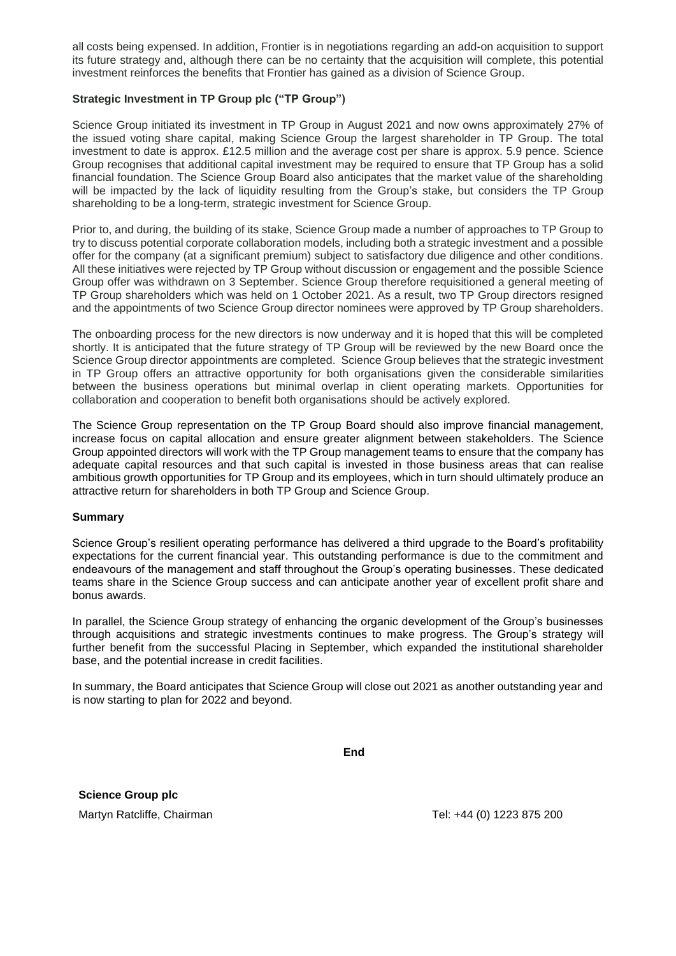all costs being expensed. In addition, Frontier is in negotiations regarding an add-on acquisition to support its future strategy and, although there can be no certainty that the acquisition will complete, this potential investment reinforces the benefits that Frontier has gained as a division of Science Group.

### **Strategic Investment in TP Group plc ("TP Group")**

Science Group initiated its investment in TP Group in August 2021 and now owns approximately 27% of the issued voting share capital, making Science Group the largest shareholder in TP Group. The total investment to date is approx. £12.5 million and the average cost per share is approx. 5.9 pence. Science Group recognises that additional capital investment may be required to ensure that TP Group has a solid financial foundation. The Science Group Board also anticipates that the market value of the shareholding will be impacted by the lack of liquidity resulting from the Group's stake, but considers the TP Group shareholding to be a long-term, strategic investment for Science Group.

Prior to, and during, the building of its stake, Science Group made a number of approaches to TP Group to try to discuss potential corporate collaboration models, including both a strategic investment and a possible offer for the company (at a significant premium) subject to satisfactory due diligence and other conditions. All these initiatives were rejected by TP Group without discussion or engagement and the possible Science Group offer was withdrawn on 3 September. Science Group therefore requisitioned a general meeting of TP Group shareholders which was held on 1 October 2021. As a result, two TP Group directors resigned and the appointments of two Science Group director nominees were approved by TP Group shareholders.

The onboarding process for the new directors is now underway and it is hoped that this will be completed shortly. It is anticipated that the future strategy of TP Group will be reviewed by the new Board once the Science Group director appointments are completed. Science Group believes that the strategic investment in TP Group offers an attractive opportunity for both organisations given the considerable similarities between the business operations but minimal overlap in client operating markets. Opportunities for collaboration and cooperation to benefit both organisations should be actively explored.

The Science Group representation on the TP Group Board should also improve financial management, increase focus on capital allocation and ensure greater alignment between stakeholders. The Science Group appointed directors will work with the TP Group management teams to ensure that the company has adequate capital resources and that such capital is invested in those business areas that can realise ambitious growth opportunities for TP Group and its employees, which in turn should ultimately produce an attractive return for shareholders in both TP Group and Science Group.

#### **Summary**

Science Group's resilient operating performance has delivered a third upgrade to the Board's profitability expectations for the current financial year. This outstanding performance is due to the commitment and endeavours of the management and staff throughout the Group's operating businesses. These dedicated teams share in the Science Group success and can anticipate another year of excellent profit share and bonus awards.

In parallel, the Science Group strategy of enhancing the organic development of the Group's businesses through acquisitions and strategic investments continues to make progress. The Group's strategy will further benefit from the successful Placing in September, which expanded the institutional shareholder base, and the potential increase in credit facilities.

In summary, the Board anticipates that Science Group will close out 2021 as another outstanding year and is now starting to plan for 2022 and beyond.

**End**

**Science Group plc**

Martyn Ratcliffe, Chairman Tel: +44 (0) 1223 875 200